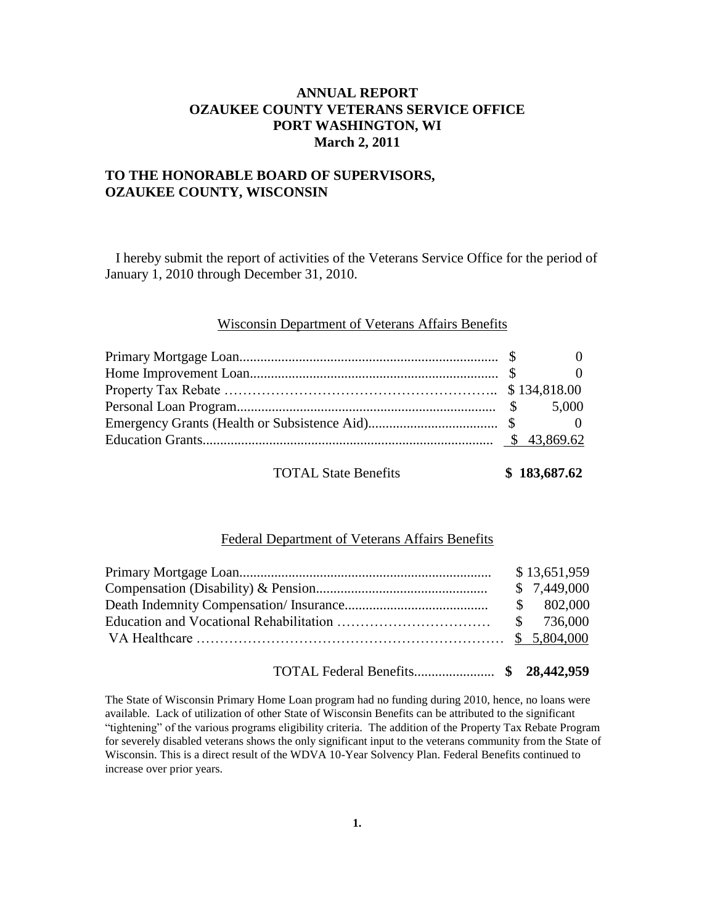# **ANNUAL REPORT OZAUKEE COUNTY VETERANS SERVICE OFFICE PORT WASHINGTON, WI March 2, 2011**

## **TO THE HONORABLE BOARD OF SUPERVISORS, OZAUKEE COUNTY, WISCONSIN**

 I hereby submit the report of activities of the Veterans Service Office for the period of January 1, 2010 through December 31, 2010.

#### Wisconsin Department of Veterans Affairs Benefits

|  | $\overline{0}$ |
|--|----------------|
|  |                |
|  |                |

TOTAL State Benefits **\$ 183,687.62** 

### Federal Department of Veterans Affairs Benefits

|  | \$13,651,959 |
|--|--------------|
|  | \$7,449,000  |
|  | \$802,000    |
|  |              |
|  |              |

TOTAL Federal Benefits....................... **\$ 28,442,959**

The State of Wisconsin Primary Home Loan program had no funding during 2010, hence, no loans were available. Lack of utilization of other State of Wisconsin Benefits can be attributed to the significant ―tightening‖ of the various programs eligibility criteria. The addition of the Property Tax Rebate Program for severely disabled veterans shows the only significant input to the veterans community from the State of Wisconsin. This is a direct result of the WDVA 10-Year Solvency Plan. Federal Benefits continued to increase over prior years.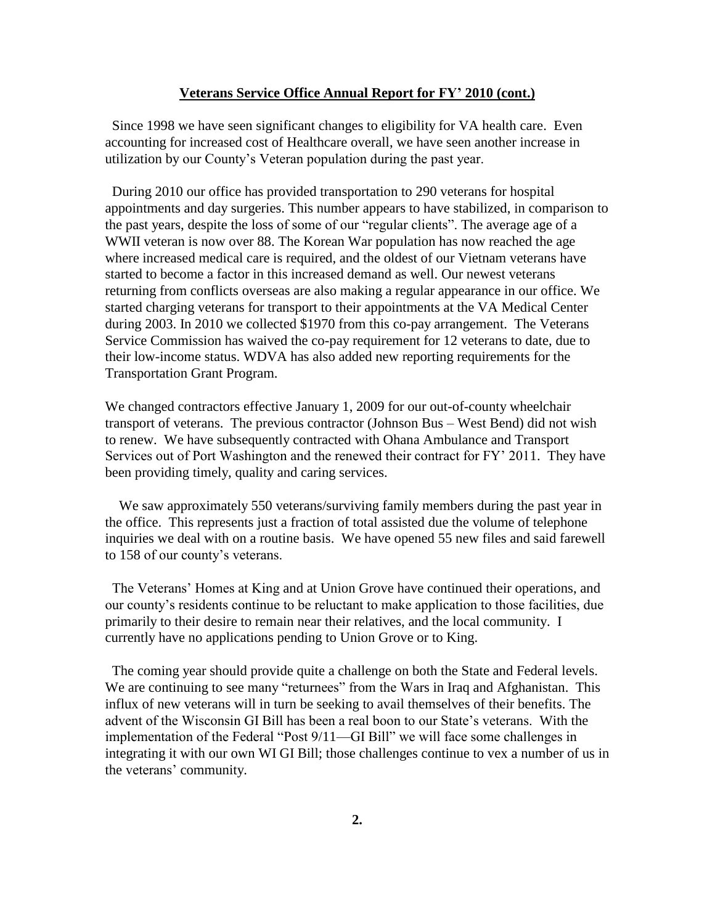#### **Veterans Service Office Annual Report for FY' 2010 (cont.)**

 Since 1998 we have seen significant changes to eligibility for VA health care. Even accounting for increased cost of Healthcare overall, we have seen another increase in utilization by our County's Veteran population during the past year.

 During 2010 our office has provided transportation to 290 veterans for hospital appointments and day surgeries. This number appears to have stabilized, in comparison to the past years, despite the loss of some of our "regular clients". The average age of a WWII veteran is now over 88. The Korean War population has now reached the age where increased medical care is required, and the oldest of our Vietnam veterans have started to become a factor in this increased demand as well. Our newest veterans returning from conflicts overseas are also making a regular appearance in our office. We started charging veterans for transport to their appointments at the VA Medical Center during 2003. In 2010 we collected \$1970 from this co-pay arrangement. The Veterans Service Commission has waived the co-pay requirement for 12 veterans to date, due to their low-income status. WDVA has also added new reporting requirements for the Transportation Grant Program.

We changed contractors effective January 1, 2009 for our out-of-county wheelchair transport of veterans. The previous contractor (Johnson Bus – West Bend) did not wish to renew. We have subsequently contracted with Ohana Ambulance and Transport Services out of Port Washington and the renewed their contract for FY' 2011. They have been providing timely, quality and caring services.

 We saw approximately 550 veterans/surviving family members during the past year in the office. This represents just a fraction of total assisted due the volume of telephone inquiries we deal with on a routine basis. We have opened 55 new files and said farewell to 158 of our county's veterans.

 The Veterans' Homes at King and at Union Grove have continued their operations, and our county's residents continue to be reluctant to make application to those facilities, due primarily to their desire to remain near their relatives, and the local community. I currently have no applications pending to Union Grove or to King.

 The coming year should provide quite a challenge on both the State and Federal levels. We are continuing to see many "returnees" from the Wars in Iraq and Afghanistan. This influx of new veterans will in turn be seeking to avail themselves of their benefits. The advent of the Wisconsin GI Bill has been a real boon to our State's veterans. With the implementation of the Federal "Post 9/11—GI Bill" we will face some challenges in integrating it with our own WI GI Bill; those challenges continue to vex a number of us in the veterans' community.